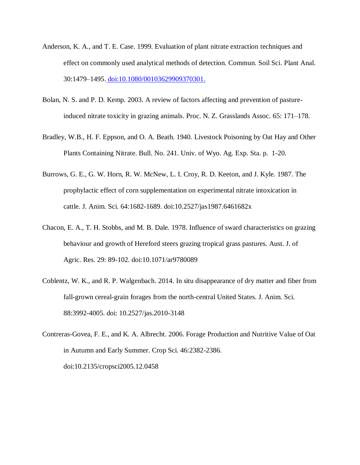- Anderson, K. A., and T. E. Case. 1999. Evaluation of plant nitrate extraction techniques and effect on commonly used analytical methods of detection. Commun. Soil Sci. Plant Anal. 30:1479–1495. doi:10.1080/00103629909370301.
- Bolan, N. S. and P. D. Kemp. 2003. A review of factors affecting and prevention of pastureinduced nitrate toxicity in grazing animals. Proc. N. Z. Grasslands Assoc. 65: 171–178.
- Bradley, W.B., H. F. Eppson, and O. A. Beath. 1940. Livestock Poisoning by Oat Hay and Other Plants Containing Nitrate. Bull. No. 241. Univ. of Wyo. Ag. Exp. Sta. p. 1-20.
- Burrows, G. E., G. W. Horn, R. W. McNew, L. I. Croy, R. D. Keeton, and J. Kyle. 1987. The prophylactic effect of corn supplementation on experimental nitrate intoxication in cattle. J. Anim. Sci. 64:1682-1689. doi:10.2527/jas1987.6461682x
- Chacon, E. A., T. H. Stobbs, and M. B. Dale. 1978. Influence of sward characteristics on grazing behaviour and growth of Hereford steers grazing tropical grass pastures. Aust. J. of Agric. Res. 29: 89-102. doi:10.1071/ar9780089
- Coblentz, W. K., and R. P. Walgenbach. 2014. In situ disappearance of dry matter and fiber from fall-grown cereal-grain forages from the north-central United States. J. Anim. Sci. 88:3992-4005. doi: 10.2527/jas.2010-3148
- Contreras-Govea, F. E., and K. A. Albrecht. 2006. Forage Production and Nutritive Value of Oat in Autumn and Early Summer. Crop Sci. 46:2382-2386. doi:10.2135/cropsci2005.12.0458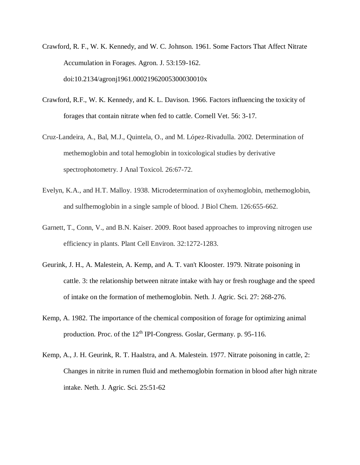- Crawford, R. F., W. K. Kennedy, and W. C. Johnson. 1961. Some Factors That Affect Nitrate Accumulation in Forages. Agron. J. 53:159-162. doi:10.2134/agronj1961.00021962005300030010x
- Crawford, R.F., W. K. Kennedy, and K. L. Davison. 1966. Factors influencing the toxicity of forages that contain nitrate when fed to cattle. Cornell Vet. 56: 3-17.
- Cruz-Landeira, A., Bal, M.J., Quintela, O., and M. López-Rivadulla. 2002. Determination of methemoglobin and total hemoglobin in toxicological studies by derivative spectrophotometry. J Anal Toxicol. 26:67-72.
- Evelyn, K.A., and H.T. Malloy. 1938. Microdetermination of oxyhemoglobin, methemoglobin, and sulfhemoglobin in a single sample of blood. J Biol Chem. 126:655-662.
- Garnett, T., Conn, V., and B.N. Kaiser. 2009. Root based approaches to improving nitrogen use efficiency in plants. Plant Cell Environ. 32:1272-1283.
- Geurink, J. H., A. Malestein, A. Kemp, and A. T. van't Klooster. 1979. Nitrate poisoning in cattle. 3: the relationship between nitrate intake with hay or fresh roughage and the speed of intake on the formation of methemoglobin. Neth. J. Agric. Sci. 27: 268-276.
- Kemp, A. 1982. The importance of the chemical composition of forage for optimizing animal production. Proc. of the 12<sup>th</sup> IPI-Congress. Goslar, Germany. p. 95-116.
- Kemp, A., J. H. Geurink, R. T. Haalstra, and A. Malestein. 1977. Nitrate poisoning in cattle, 2: Changes in nitrite in rumen fluid and methemoglobin formation in blood after high nitrate intake. Neth. J. Agric. Sci. 25:51-62